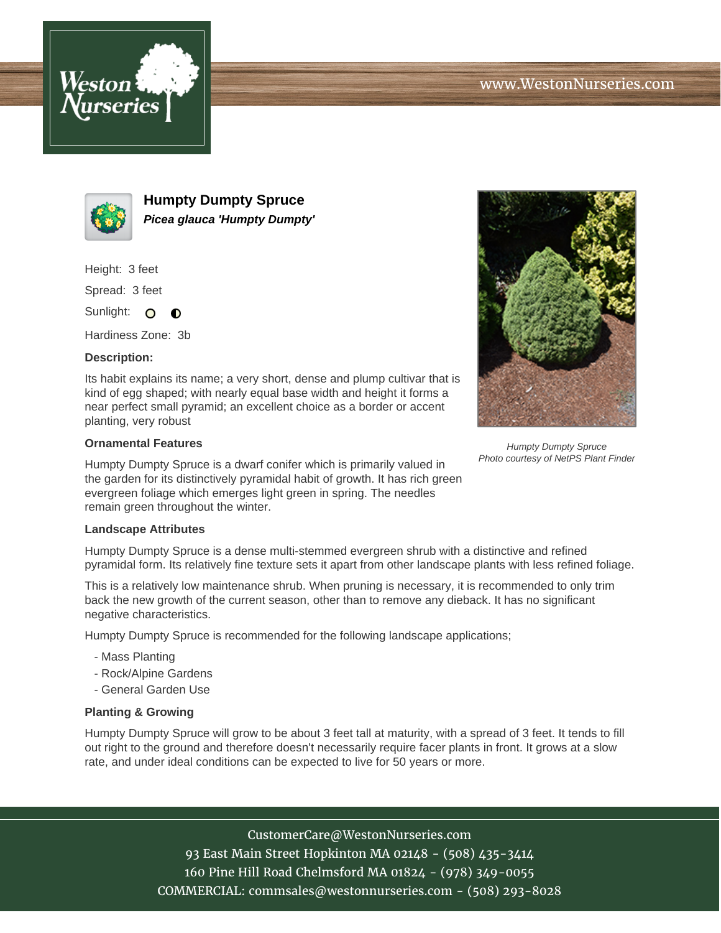



**Humpty Dumpty Spruce Picea glauca 'Humpty Dumpty'**

Height: 3 feet

Spread: 3 feet

Sunlight: O  $\bullet$ 

Hardiness Zone: 3b

## **Description:**

Its habit explains its name; a very short, dense and plump cultivar that is kind of egg shaped; with nearly equal base width and height it forms a near perfect small pyramid; an excellent choice as a border or accent planting, very robust

## **Ornamental Features**

Humpty Dumpty Spruce is a dwarf conifer which is primarily valued in the garden for its distinctively pyramidal habit of growth. It has rich green evergreen foliage which emerges light green in spring. The needles remain green throughout the winter.

## **Landscape Attributes**

Humpty Dumpty Spruce is a dense multi-stemmed evergreen shrub with a distinctive and refined pyramidal form. Its relatively fine texture sets it apart from other landscape plants with less refined foliage.

This is a relatively low maintenance shrub. When pruning is necessary, it is recommended to only trim back the new growth of the current season, other than to remove any dieback. It has no significant negative characteristics.

Humpty Dumpty Spruce is recommended for the following landscape applications;

- Mass Planting
- Rock/Alpine Gardens
- General Garden Use

## **Planting & Growing**

Humpty Dumpty Spruce will grow to be about 3 feet tall at maturity, with a spread of 3 feet. It tends to fill out right to the ground and therefore doesn't necessarily require facer plants in front. It grows at a slow rate, and under ideal conditions can be expected to live for 50 years or more.

> CustomerCare@WestonNurseries.com 93 East Main Street Hopkinton MA 02148 - (508) 435-3414 160 Pine Hill Road Chelmsford MA 01824 - (978) 349-0055 COMMERCIAL: commsales@westonnurseries.com - (508) 293-8028



Humpty Dumpty Spruce Photo courtesy of NetPS Plant Finder